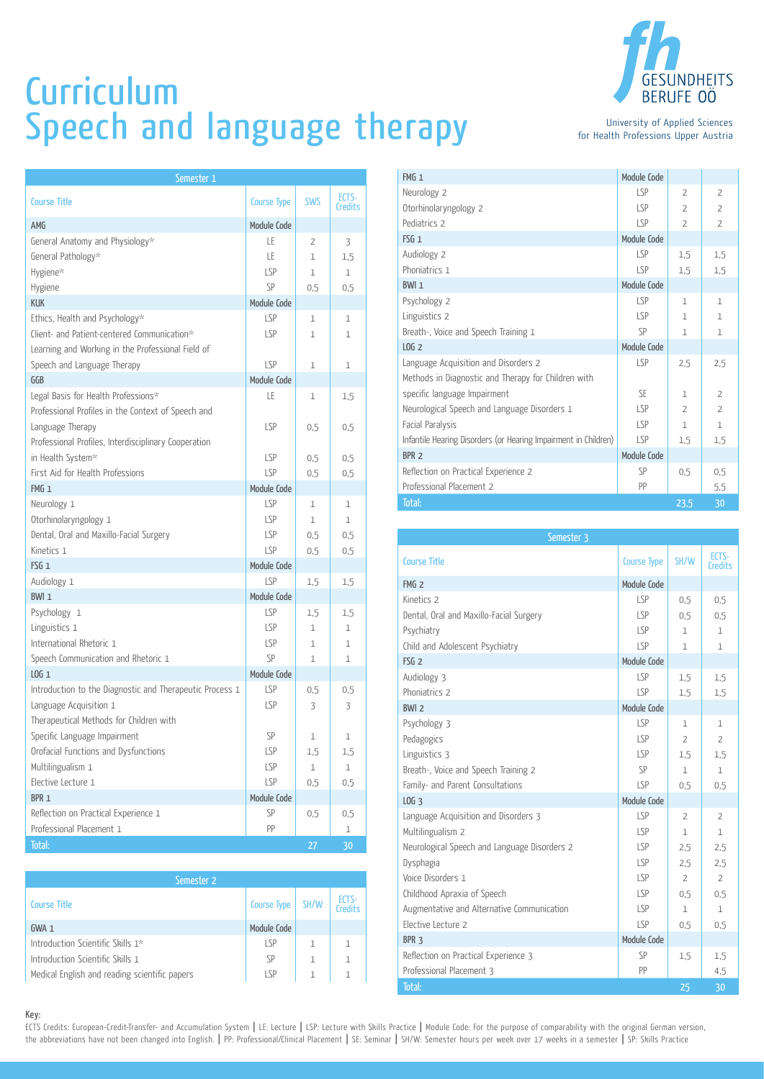## **Curriculum** Speech and language therapy

| Semester 1                                               |                    |              |                  |
|----------------------------------------------------------|--------------------|--------------|------------------|
| <b>Course Title</b>                                      | <b>Course Type</b> | <b>SWS</b>   | ECTS-<br>Credits |
| AMG                                                      | Module Code        |              |                  |
| General Anatomy and Physiology*                          | LE                 | 2            | 3                |
| General Pathology*                                       | LE                 | $\mathbf{1}$ | 1,5              |
| Hygiene*                                                 | LSP                | 1            | 1                |
| Hygiene                                                  | SP                 | 0,5          | 0,5              |
| <b>KUK</b>                                               | Module Code        |              |                  |
| Ethics, Health and Psychology*                           | LSP                | 1            | 1                |
| Client- and Patient-centered Communication*              | <b>LSP</b>         | 1            | 1                |
| Learning and Working in the Professional Field of        |                    |              |                  |
| Speech and Language Therapy                              | LSP                | 1            | 1                |
| GGB                                                      | Module Code        |              |                  |
| Legal Basis for Health Professions*                      | LE                 | 1            | 1,5              |
| Professional Profiles in the Context of Speech and       |                    |              |                  |
| Language Therapy                                         | <b>LSP</b>         | 0,5          | 0,5              |
| Professional Profiles, Interdisciplinary Cooperation     |                    |              |                  |
| in Health System*                                        | <b>LSP</b>         | 0,5          | 0,5              |
| First Aid for Health Professions                         | <b>LSP</b>         | 0,5          | 0,5              |
| FMG <sub>1</sub>                                         | Module Code        |              |                  |
| Neurology 1                                              | <b>LSP</b>         | $\mathbf{1}$ | 1                |
| Otorhinolaryngology 1                                    | <b>LSP</b>         | 1            | $\mathbf{1}$     |
| Dental, Oral and Maxillo-Facial Surgery                  | LSP                | 0,5          | 0,5              |
| Kinetics 1                                               | <b>LSP</b>         | 0,5          | 0,5              |
| FSG <sub>1</sub>                                         | Module Code        |              |                  |
| Audiology 1                                              | <b>LSP</b>         | 1,5          | 1,5              |
| BWI <sub>1</sub>                                         | Module Code        |              |                  |
| Psychology 1                                             | <b>LSP</b>         | 1,5          | 1,5              |
| Linguistics 1                                            | <b>LSP</b>         | $\mathbf{1}$ | 1                |
| International Rhetoric 1                                 | <b>LSP</b>         | 1            | 1                |
| Speech Communication and Rhetoric 1                      | SP                 | 1            | $\mathbf 1$      |
| $LOG_1$                                                  | Module Code        |              |                  |
| Introduction to the Diagnostic and Therapeutic Process 1 | <b>LSP</b>         | 0,5          | 0,5              |
| Language Acquisition 1                                   | <b>LSP</b>         | 3            | 3                |
| Therapeutical Methods for Children with                  |                    |              |                  |
| Specific Language Impairment                             | SP                 | 1            | 1                |
| Orofacial Functions and Dysfunctions                     | <b>LSP</b>         | 1,5          | 1,5              |
| Multilingualism 1                                        | LSP                | 1            | $1\,$            |
| Elective Lecture 1                                       | LSP                | 0,5          | 0,5              |
| BPR <sub>1</sub>                                         | Module Code        |              |                  |
| Reflection on Practical Experience 1                     | SP                 | 0,5          | 0,5              |
| Professional Placement 1                                 | PP                 |              | 1                |
| Total:                                                   |                    | 27           | 30               |

| Semester 2                                    |                    |      |                  |
|-----------------------------------------------|--------------------|------|------------------|
| <b>Course Title</b>                           | <b>Course Type</b> | SH/W | ECTS-<br>Credits |
| $GWA_1$                                       | Module Code        |      |                  |
| Introduction Scientific Skills 1*             | LSP                |      |                  |
| Introduction Scientific Skills 1              | SP                 |      |                  |
| Medical English and reading scientific papers | $\sqrt{P}$         | 1    |                  |



for Health Professions Upper Austria

| FMG <sub>1</sub>                                                | Module Code |                |                |
|-----------------------------------------------------------------|-------------|----------------|----------------|
| Neurology 2                                                     | LSP         | $\overline{2}$ | $\overline{2}$ |
| Otorhinolaryngology 2                                           | LSP         | $\overline{2}$ | $\overline{z}$ |
| Pediatrics 2                                                    | <b>LSP</b>  | $\overline{2}$ | $\overline{2}$ |
| $FSG_1$                                                         | Module Code |                |                |
| Audiology 2                                                     | LSP         | 1,5            | 1,5            |
| Phoniatrics 1                                                   | LSP         | 1,5            | 1,5            |
| BWI <sub>1</sub>                                                | Module Code |                |                |
| Psychology 2                                                    | LSP         | $\mathbf{1}$   | $\mathbf{1}$   |
| Linguistics 2                                                   | LSP         | $\mathbf{1}$   | $\mathbf{1}$   |
| Breath-, Voice and Speech Training 1                            | SP          | $\mathbf{1}$   | $\mathbf{1}$   |
| LOG <sub>2</sub>                                                | Module Code |                |                |
| Language Acquisition and Disorders 2                            | LSP         | 2.5            | 2,5            |
| Methods in Diagnostic and Therapy for Children with             |             |                |                |
| specific language Impairment                                    | SE          | $\mathbf{1}$   | $\overline{2}$ |
| Neurological Speech and Language Disorders 1                    | LSP         | $\overline{2}$ | $\overline{2}$ |
| Facial Paralysis                                                | <b>LSP</b>  | $\mathbf{1}$   | $\mathbf{1}$   |
| Infantile Hearing Disorders (or Hearing Impairment in Children) | <b>LSP</b>  | 1,5            | 1,5            |
| BPR <sub>2</sub>                                                | Module Code |                |                |
| Reflection on Practical Experience 2                            | SP          | 0.5            | $0.5^{\circ}$  |
| Professional Placement 2                                        | PP          |                | 5,5            |
| Total:                                                          |             | 23,5           | 30             |

| Semester 3                                   |                    |                |                  |  |
|----------------------------------------------|--------------------|----------------|------------------|--|
| <b>Course Title</b>                          | <b>Course Type</b> | SH/W           | ECTS-<br>Credits |  |
| FMG <sub>2</sub>                             | Module Code        |                |                  |  |
| Kinetics 2                                   | LSP                | 0.5            | 0.5              |  |
| Dental, Oral and Maxillo-Facial Surgery      | LSP                | 0.5            | 0.5              |  |
| Psychiatry                                   | LSP                | $\mathbf{1}$   | $\mathbf{1}$     |  |
| Child and Adolescent Psychiatry              | LSP                | 1              | $\mathbf{1}$     |  |
| FSG <sub>2</sub>                             | Module Code        |                |                  |  |
| Audiology 3                                  | LSP                | 1,5            | 1,5              |  |
| Phoniatrics 2                                | LSP                | 1,5            | 1,5              |  |
| $BWI$ 2                                      | Module Code        |                |                  |  |
| Psychology 3                                 | LSP                | $\mathbf{1}$   | $\mathbf{1}$     |  |
| Pedagogics                                   | LSP                | $\overline{2}$ | $\overline{2}$   |  |
| Linguistics 3                                | LSP                | 1,5            | 1,5              |  |
| Breath-, Voice and Speech Training 2         | SP                 | $\mathbf{1}$   | 1                |  |
| Family- and Parent Consultations             | LSP                | 0.5            | 0.5              |  |
| LOG <sub>3</sub>                             | Module Code        |                |                  |  |
| Language Acquisition and Disorders 3         | <b>LSP</b>         | $\overline{2}$ | $\overline{2}$   |  |
| Multilingualism 2                            | LSP                | $\mathbf{1}$   | $\mathbf{1}$     |  |
| Neurological Speech and Language Disorders 2 | LSP                | 2,5            | 2.5              |  |
| Dysphagia                                    | LSP                | 2,5            | 2,5              |  |
| Voice Disorders 1                            | LSP                | $\overline{2}$ | $\overline{2}$   |  |
| Childhood Apraxia of Speech                  | LSP                | 0.5            | 0.5              |  |
| Augmentative and Alternative Communication   | LSP                | $\mathbf{1}$   | $\mathbf{1}$     |  |
| Elective Lecture 2                           | LSP                | 0.5            | 0,5              |  |
| BPR <sub>3</sub>                             | Module Code        |                |                  |  |
| Reflection on Practical Experience 3         | SP                 | 1,5            | 1,5              |  |
| Professional Placement 3                     | PP                 |                | 4,5              |  |
| Total:                                       |                    | 25             | 30               |  |

## Key:

ECTS Credits: European-Credit-Transfer- and Accumulation System | LE: Lecture | LSP: Lecture with Skills Practice | Module Code: For the purpose of comparability with the original German version, the abbreviations have not been changed into English. | PP: Professional/Clinical Placement | SE: Seminar | SH/W: Semester hours per week over 17 weeks in a semester | SP: Skills Practice